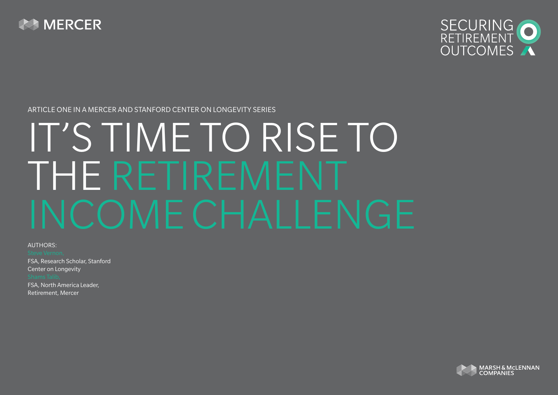



#### Article one in a Mercer and Stanford Center on Longevity series

# IT'S TIME TO RISE TO THE RETIREMENT INCOME CHALLENGE

AUTHORS:

FSA, Research Scholar, Stanford Center on Longevity FSA, North America Leader, Retirement, Mercer

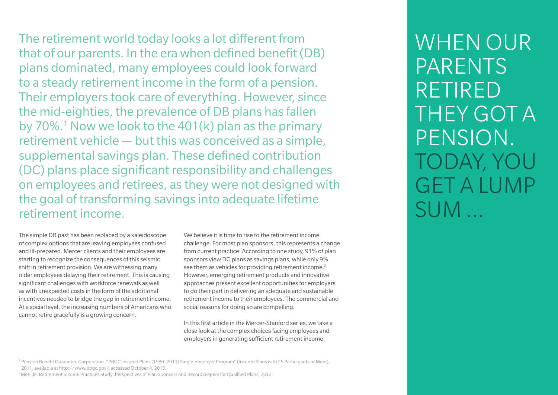The retirement world today looks a lot different from that of our parents. In the era when defined benefit (DB) plans dominated, many employees could look forward to a steady retirement income in the form of a pension. Their employers took care of everything. However, since the mid-eighties, the prevalence of DB plans has fallen by 70%.<sup>1</sup> Now we look to the 401(k) plan as the primary retirement vehicle — but this was conceived as a simple, supplemental savings plan. These defined contribution (DC) plans place significant responsibility and challenges on employees and retirees, as they were not designed with the goal of transforming savings into adequate lifetime retirement income.

The simple DB past has been replaced by a kaleidoscope of complex options that are leaving employees confused and ill-prepared. Mercer clients and their employees are starting to recognize the consequences of this seismic shift in retirement provision. We are witnessing many older employees delaying their retirement. This is causing significant challenges with workforce renewals as well as with unexpected costs in the form of the additional incentives needed to bridge the gap in retirement income. At a social level, the increasing numbers of Americans who cannot retire gracefully is a growing concern.

We believe it is time to rise to the retirement income challenge. For most plan sponsors, this represents a change from current practice. According to one study, 91% of plan sponsors view DC plans as savings plans, while only 9% see them as vehicles for providing retirement income.<sup>2</sup> However, emerging retirement products and innovative approaches present excellent opportunities for employers to do their part in delivering an adequate and sustainable retirement income to their employees. The commercial and social reasons for doing so are compelling.

In this first article in the Mercer-Stanford series, we take a close look at the complex choices facing employees and employers in generating sufficient retirement income.

WHFN OUR **PARFNTS** RFTIRFD THEY GOT A pension. Today, you get a lump sum …

2MetLife. Retirement Income Practices Study: Perspectives of Plan Sponsors and Recordkeepers for Qualified Plans, 2012.

<sup>1</sup> Pension Benefit Guarantee Corporation. "PBGC-insured Plans (1980–2011) Single-employer Program" (Insured Plans with 25 Participants or More), 2011, available at http://www.pbgc.gov/, accessed October 4, 2013.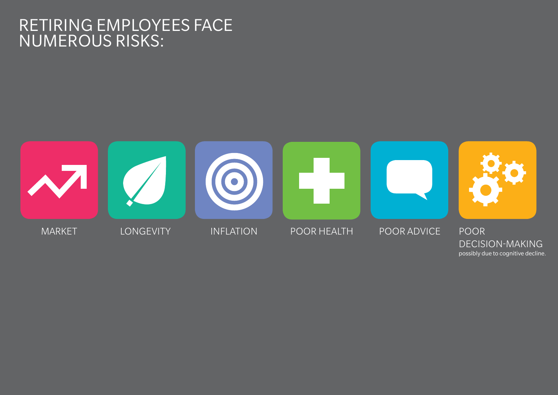## Retiring employees face numerous risks:



possibly due to cognitive decline.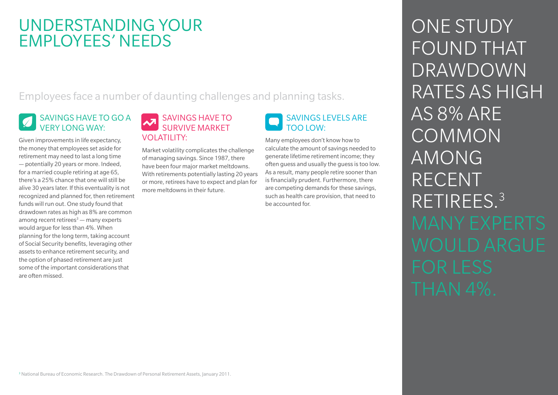## UNDERSTANDING YOUR EMPLOYEES' NEEDS

Employees face a number of daunting challenges and planning tasks.

### Savings have to go a very long way:

Given improvements in life expectancy, the money that employees set aside for retirement may need to last a long time — potentially 20 years or more. Indeed, for a married couple retiring at age 65, there's a 25% chance that one will still be alive 30 years later. If this eventuality is not recognized and planned for, then retirement funds will run out. One study found that drawdown rates as high as 8% are common among recent retirees<sup>3</sup> — many experts would argue for less than 4%. When planning for the long term, taking account of Social Security benefits, leveraging other assets to enhance retirement security, and the option of phased retirement are just some of the important considerations that are often missed.

#### Savings have to survive market volatility:

Market volatility complicates the challenge of managing savings. Since 1987, there have been four major market meltdowns. With retirements potentially lasting 20 years or more, retirees have to expect and plan for more meltdowns in their future.

#### Savings levels are too low:

Many employees don't know how to calculate the amount of savings needed to generate lifetime retirement income; they often guess and usually the guess is too low. As a result, many people retire sooner than is financially prudent. Furthermore, there are competing demands for these savings, such as health care provision, that need to be accounted for.

ONE STUDY FOUND THAT drawdown rates as high as 8% are COMMON among **AMONG RECENT** retirees. 3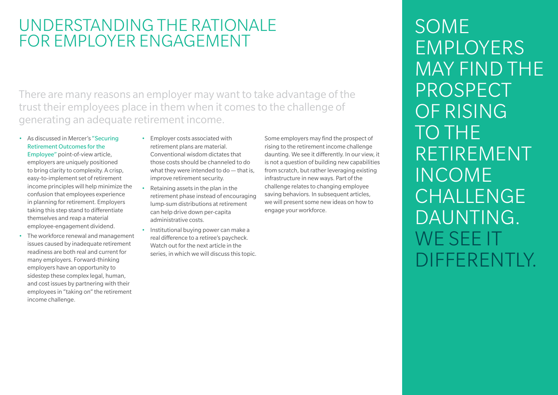## UNDERSTANDING THE RATIONALE FOR EMPLOYER ENGAGEMENT

There are many reasons an employer may want to take advantage of the trust their employees place in them when it comes to the challenge of generating an adequate retirement income.

• As discussed in Mercer's "Securing [Retirement Outcomes for the](http://info.mercer.com/securing-retirement-outcomes-for-employees.html) 

[Employee"](http://info.mercer.com/securing-retirement-outcomes-for-employees.html) point-of-view article, employers are uniquely positioned to bring clarity to complexity. A crisp, easy-to-implement set of retirement income principles will help minimize the confusion that employees experience in planning for retirement. Employers taking this step stand to differentiate themselves and reap a material employee-engagement dividend.

• The workforce renewal and management issues caused by inadequate retirement readiness are both real and current for many employers. Forward-thinking employers have an opportunity to sidestep these complex legal, human, and cost issues by partnering with their employees in "taking on" the retirement income challenge.

- • Employer costs associated with retirement plans are material. Conventional wisdom dictates that those costs should be channeled to do what they were intended to do — that is, improve retirement security.
- Retaining assets in the plan in the retirement phase instead of encouraging lump-sum distributions at retirement can help drive down per-capita administrative costs.
- • Institutional buying power can make a real difference to a retiree's paycheck. Watch out for the next article in the series, in which we will discuss this topic.

Some employers may find the prospect of rising to the retirement income challenge daunting. We see it differently. In our view, it is not a question of building new capabilities from scratch, but rather leveraging existing infrastructure in new ways. Part of the challenge relates to changing employee saving behaviors. In subsequent articles, we will present some new ideas on how to engage your workforce.

**SOME EMPLOYERS** may find the **PROSPECT** OF RISING TO THE **RETIREMENT INCOME** CHALLENGE DAUNTING.<br>WE SEE IT differently.